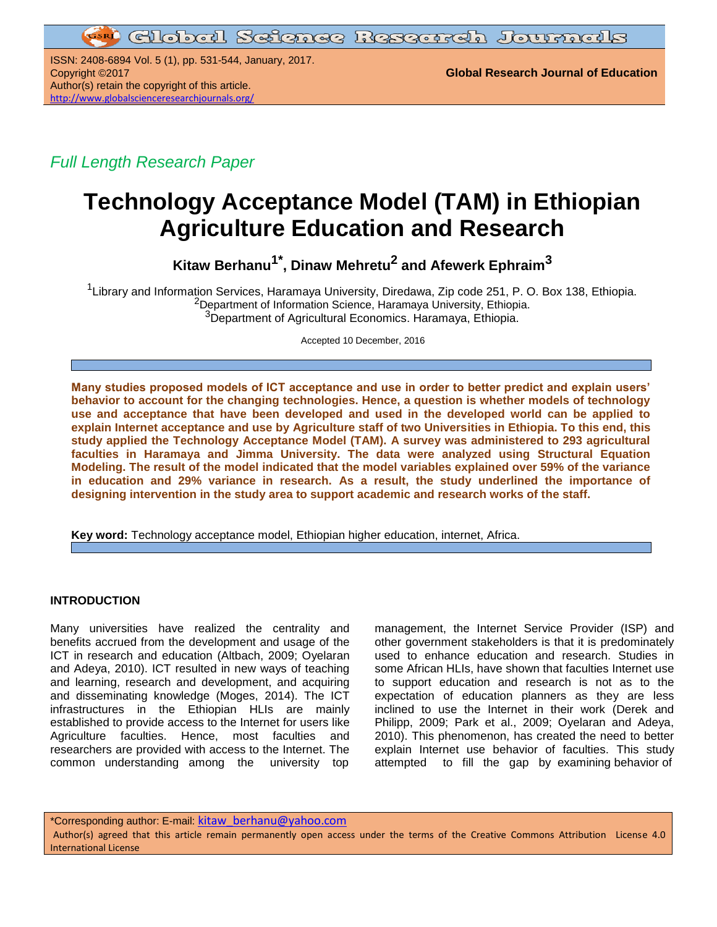**GIobal Science Research Journals** 

ISSN: 2408-6894 Vol. 5 (1), pp. 531-544, January, 2017. Copyright ©2017 **Global Research Journal of Education** Author(s) retain the copyright of this article. <http://www.globalscienceresearchjournals.org/>

*Full Length Research Paper*

# **Technology Acceptance Model (TAM) in Ethiopian Agriculture Education and Research**

**Kitaw Berhanu1\* , Dinaw Mehretu<sup>2</sup> and Afewerk Ephraim<sup>3</sup>**

<sup>1</sup>Library and Information Services, Haramaya University, Diredawa, Zip code 251, P. O. Box 138, Ethiopia. <sup>2</sup>Department of Information Science, Haramaya University, Ethiopia. <sup>3</sup>Department of Agricultural Economics. Haramaya, Ethiopia.

Accepted 10 December, 2016

**Many studies proposed models of ICT acceptance and use in order to better predict and explain users' behavior to account for the changing technologies. Hence, a question is whether models of technology use and acceptance that have been developed and used in the developed world can be applied to explain Internet acceptance and use by Agriculture staff of two Universities in Ethiopia. To this end, this study applied the Technology Acceptance Model (TAM). A survey was administered to 293 agricultural faculties in Haramaya and Jimma University. The data were analyzed using Structural Equation Modeling. The result of the model indicated that the model variables explained over 59% of the variance in education and 29% variance in research. As a result, the study underlined the importance of designing intervention in the study area to support academic and research works of the staff.**

**Key word:** Technology acceptance model, Ethiopian higher education, internet, Africa.

## **INTRODUCTION**

Many universities have realized the centrality and benefits accrued from the development and usage of the ICT in research and education (Altbach, 2009; Oyelaran and Adeya, 2010). ICT resulted in new ways of teaching and learning, research and development, and acquiring and disseminating knowledge (Moges, 2014). The ICT infrastructures in the Ethiopian HLIs are mainly established to provide access to the Internet for users like Agriculture faculties. Hence, most faculties and researchers are provided with access to the Internet. The common understanding among the university top

management, the Internet Service Provider (ISP) and other government stakeholders is that it is predominately used to enhance education and research. Studies in some African HLIs, have shown that faculties Internet use to support education and research is not as to the expectation of education planners as they are less inclined to use the Internet in their work (Derek and Philipp, 2009; Park et al., 2009; Oyelaran and Adeya, 2010). This phenomenon, has created the need to better explain Internet use behavior of faculties. This study attempted to fill the gap by examining behavior of

\*Corresponding author: E-mail: [kitaw\\_berhanu@yahoo.com](mailto:kitaw_berhanu@yahoo.com)

Author(s) agreed that this article remain permanently open access under the terms of the Creative Commons Attribution License 4.0 International License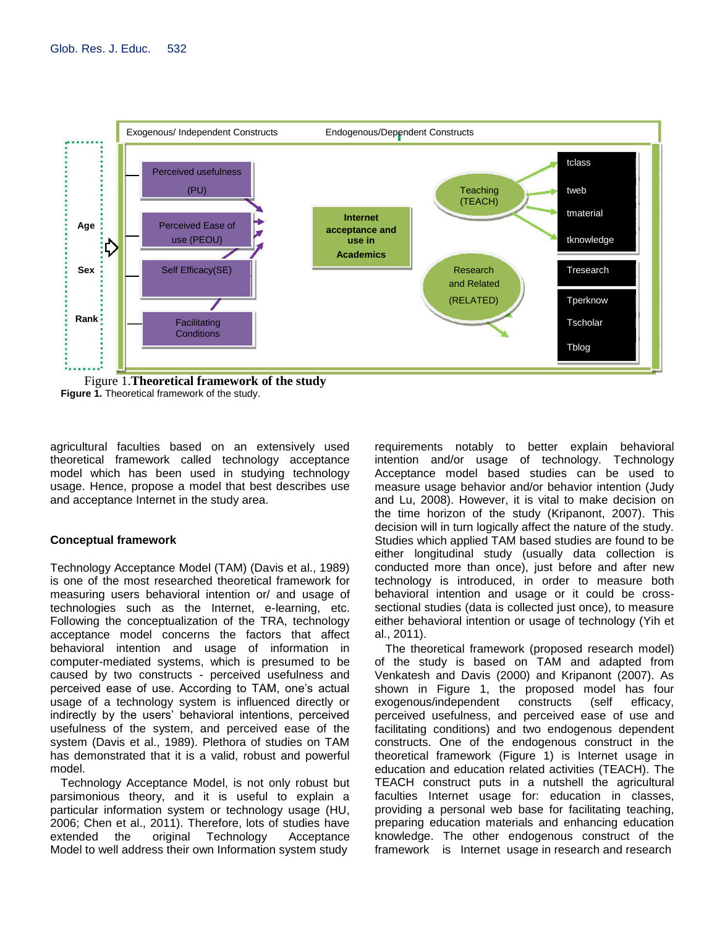

Figure 1.**Theoretical framework of the study Figure 1.** Theoretical framework of the study.

agricultural faculties based on an extensively used theoretical framework called technology acceptance model which has been used in studying technology usage. Hence, propose a model that best describes use and acceptance Internet in the study area.

## **Conceptual framework**

Technology Acceptance Model (TAM) (Davis et al., 1989) is one of the most researched theoretical framework for measuring users behavioral intention or/ and usage of technologies such as the Internet, e-learning, etc. Following the conceptualization of the TRA, technology acceptance model concerns the factors that affect behavioral intention and usage of information in computer-mediated systems, which is presumed to be caused by two constructs - perceived usefulness and perceived ease of use. According to TAM, one's actual usage of a technology system is influenced directly or indirectly by the users' behavioral intentions, perceived usefulness of the system, and perceived ease of the system (Davis et al., 1989). Plethora of studies on TAM has demonstrated that it is a valid, robust and powerful model.

Technology Acceptance Model, is not only robust but parsimonious theory, and it is useful to explain a particular information system or technology usage (HU, 2006; Chen et al., 2011). Therefore, lots of studies have extended the original Technology Acceptance Model to well address their own Information system study

requirements notably to better explain behavioral intention and/or usage of technology. Technology Acceptance model based studies can be used to measure usage behavior and/or behavior intention (Judy and Lu, 2008). However, it is vital to make decision on the time horizon of the study (Kripanont, 2007). This decision will in turn logically affect the nature of the study. Studies which applied TAM based studies are found to be either longitudinal study (usually data collection is conducted more than once), just before and after new technology is introduced, in order to measure both behavioral intention and usage or it could be crosssectional studies (data is collected just once), to measure either behavioral intention or usage of technology (Yih et al., 2011).

The theoretical framework (proposed research model) of the study is based on TAM and adapted from Venkatesh and Davis (2000) and Kripanont (2007). As shown in Figure 1, the proposed model has four exogenous/independent constructs (self efficacy, perceived usefulness, and perceived ease of use and facilitating conditions) and two endogenous dependent constructs. One of the endogenous construct in the theoretical framework (Figure 1) is Internet usage in education and education related activities (TEACH). The TEACH construct puts in a nutshell the agricultural faculties Internet usage for: education in classes, providing a personal web base for facilitating teaching, preparing education materials and enhancing education knowledge. The other endogenous construct of the framework is Internet usage in research and research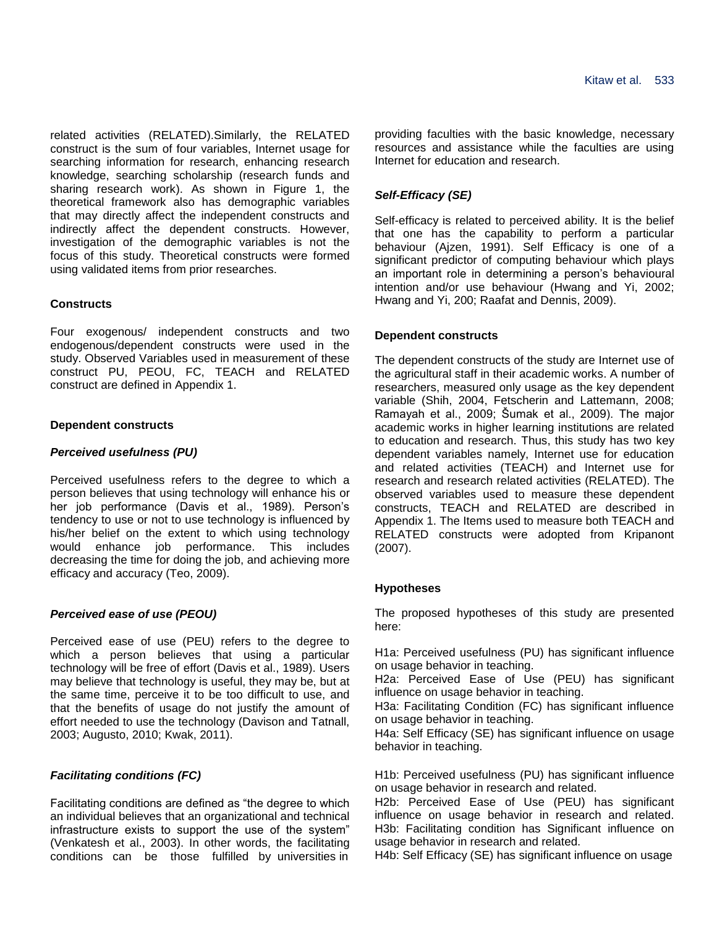related activities (RELATED).Similarly, the RELATED construct is the sum of four variables, Internet usage for searching information for research, enhancing research knowledge, searching scholarship (research funds and sharing research work). As shown in Figure 1, the theoretical framework also has demographic variables that may directly affect the independent constructs and indirectly affect the dependent constructs. However, investigation of the demographic variables is not the focus of this study. Theoretical constructs were formed using validated items from prior researches.

# **Constructs**

Four exogenous/ independent constructs and two endogenous/dependent constructs were used in the study. Observed Variables used in measurement of these construct PU, PEOU, FC, TEACH and RELATED construct are defined in Appendix 1.

## **Dependent constructs**

# *Perceived usefulness (PU)*

Perceived usefulness refers to the degree to which a person believes that using technology will enhance his or her job performance (Davis et al., 1989). Person's tendency to use or not to use technology is influenced by his/her belief on the extent to which using technology would enhance job performance. This includes decreasing the time for doing the job, and achieving more efficacy and accuracy (Teo, 2009).

# *Perceived ease of use (PEOU)*

Perceived ease of use (PEU) refers to the degree to which a person believes that using a particular technology will be free of effort (Davis et al., 1989). Users may believe that technology is useful, they may be, but at the same time, perceive it to be too difficult to use, and that the benefits of usage do not justify the amount of effort needed to use the technology (Davison and Tatnall, 2003; Augusto, 2010; Kwak, 2011).

# *Facilitating conditions (FC)*

Facilitating conditions are defined as "the degree to which an individual believes that an organizational and technical infrastructure exists to support the use of the system" (Venkatesh et al., 2003). In other words, the facilitating conditions can be those fulfilled by universities in

providing faculties with the basic knowledge, necessary resources and assistance while the faculties are using Internet for education and research.

# *Self-Efficacy (SE)*

Self-efficacy is related to perceived ability. It is the belief that one has the capability to perform a particular behaviour (Ajzen, 1991). Self Efficacy is one of a significant predictor of computing behaviour which plays an important role in determining a person's behavioural intention and/or use behaviour (Hwang and Yi, 2002; Hwang and Yi, 200; Raafat and Dennis, 2009).

# **Dependent constructs**

The dependent constructs of the study are Internet use of the agricultural staff in their academic works. A number of researchers, measured only usage as the key dependent variable (Shih, 2004, Fetscherin and Lattemann, 2008; Ramayah et al., 2009; Šumak et al., 2009). The major academic works in higher learning institutions are related to education and research. Thus, this study has two key dependent variables namely, Internet use for education and related activities (TEACH) and Internet use for research and research related activities (RELATED). The observed variables used to measure these dependent constructs, TEACH and RELATED are described in Appendix 1. The Items used to measure both TEACH and RELATED constructs were adopted from Kripanont (2007).

# **Hypotheses**

The proposed hypotheses of this study are presented here:

H1a: Perceived usefulness (PU) has significant influence on usage behavior in teaching.

H2a: Perceived Ease of Use (PEU) has significant influence on usage behavior in teaching.

H3a: Facilitating Condition (FC) has significant influence on usage behavior in teaching.

H4a: Self Efficacy (SE) has significant influence on usage behavior in teaching.

H1b: Perceived usefulness (PU) has significant influence on usage behavior in research and related.

H2b: Perceived Ease of Use (PEU) has significant influence on usage behavior in research and related. H3b: Facilitating condition has Significant influence on usage behavior in research and related.

H4b: Self Efficacy (SE) has significant influence on usage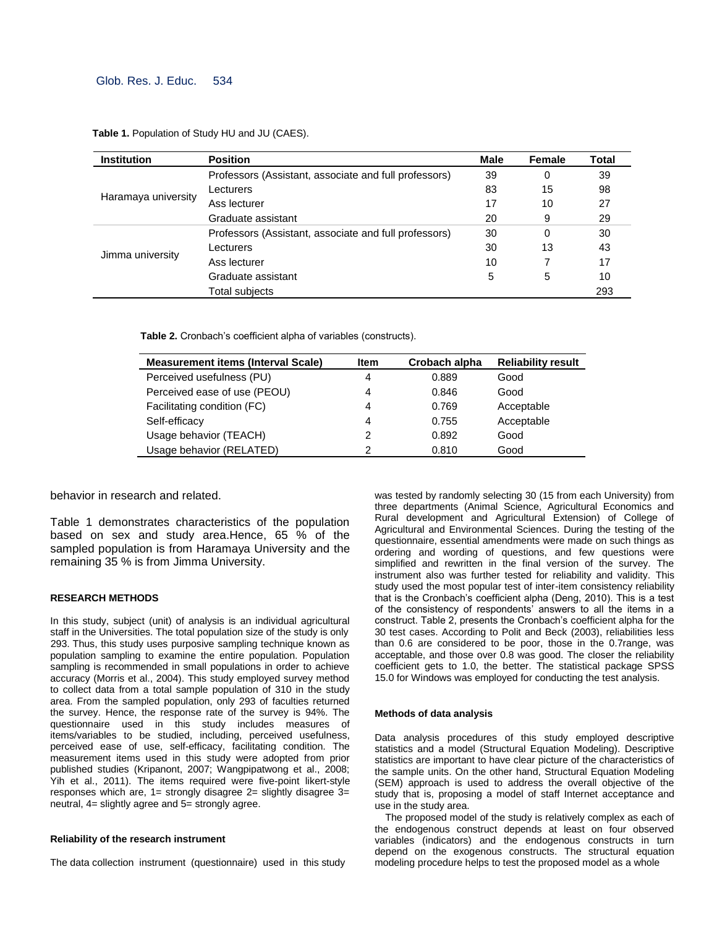## Glob. Res. J. Educ. 534

**Table 1.** Population of Study HU and JU (CAES).

| <b>Institution</b>  | <b>Position</b>                                       | Male | Female | Total |
|---------------------|-------------------------------------------------------|------|--------|-------|
|                     | Professors (Assistant, associate and full professors) | 39   | 0      | 39    |
|                     | Lecturers                                             | 83   | 15     | 98    |
| Haramaya university | Ass lecturer                                          | 17   | 10     | 27    |
|                     | Graduate assistant                                    | 20   | 9      | 29    |
|                     | Professors (Assistant, associate and full professors) | 30   | 0      | 30    |
|                     | Lecturers                                             | 30   | 13     | 43    |
| Jimma university    | Ass lecturer                                          | 10   |        | 17    |
|                     | Graduate assistant                                    | 5    | 5      | 10    |
|                     | Total subjects                                        |      |        | 293   |

**Table 2.** Cronbach's coefficient alpha of variables (constructs).

| <b>Measurement items (Interval Scale)</b> | <b>Item</b>   | Crobach alpha | <b>Reliability result</b> |
|-------------------------------------------|---------------|---------------|---------------------------|
| Perceived usefulness (PU)                 | 4             | 0.889         | Good                      |
| Perceived ease of use (PEOU)              | 4             | 0.846         | Good                      |
| Facilitating condition (FC)               | 4             | 0.769         | Acceptable                |
| Self-efficacy                             | 4             | 0.755         | Acceptable                |
| Usage behavior (TEACH)                    | $\mathcal{P}$ | 0.892         | Good                      |
| Usage behavior (RELATED)                  | $\mathcal{P}$ | 0.810         | Good                      |

behavior in research and related.

Table 1 demonstrates characteristics of the population based on sex and study area.Hence, 65 % of the sampled population is from Haramaya University and the remaining 35 % is from Jimma University.

#### **RESEARCH METHODS**

In this study, subject (unit) of analysis is an individual agricultural staff in the Universities. The total population size of the study is only 293. Thus, this study uses purposive sampling technique known as population sampling to examine the entire population. Population sampling is recommended in small populations in order to achieve accuracy (Morris et al., 2004). This study employed survey method to collect data from a total sample population of 310 in the study area. From the sampled population, only 293 of faculties returned the survey. Hence, the response rate of the survey is 94%. The questionnaire used in this study includes measures of items/variables to be studied, including, perceived usefulness, perceived ease of use, self-efficacy, facilitating condition. The measurement items used in this study were adopted from prior published studies (Kripanont, 2007; Wangpipatwong et al., 2008; Yih et al., 2011). The items required were five-point likert-style responses which are, 1= strongly disagree 2= slightly disagree 3= neutral, 4= slightly agree and 5= strongly agree.

#### **Reliability of the research instrument**

The data collection instrument (questionnaire) used in this study

was tested by randomly selecting 30 (15 from each University) from three departments (Animal Science, Agricultural Economics and Rural development and Agricultural Extension) of College of Agricultural and Environmental Sciences. During the testing of the questionnaire, essential amendments were made on such things as ordering and wording of questions, and few questions were simplified and rewritten in the final version of the survey. The instrument also was further tested for reliability and validity. This study used the most popular test of inter-item consistency reliability that is the Cronbach's coefficient alpha (Deng, 2010). This is a test of the consistency of respondents' answers to all the items in a construct. Table 2, presents the Cronbach's coefficient alpha for the 30 test cases. According to Polit and Beck (2003), reliabilities less than 0.6 are considered to be poor, those in the 0.7range, was acceptable, and those over 0.8 was good. The closer the reliability coefficient gets to 1.0, the better. The statistical package SPSS 15.0 for Windows was employed for conducting the test analysis.

#### **Methods of data analysis**

Data analysis procedures of this study employed descriptive statistics and a model (Structural Equation Modeling). Descriptive statistics are important to have clear picture of the characteristics of the sample units. On the other hand, Structural Equation Modeling (SEM) approach is used to address the overall objective of the study that is, proposing a model of staff Internet acceptance and use in the study area.

The proposed model of the study is relatively complex as each of the endogenous construct depends at least on four observed variables (indicators) and the endogenous constructs in turn depend on the exogenous constructs. The structural equation modeling procedure helps to test the proposed model as a whole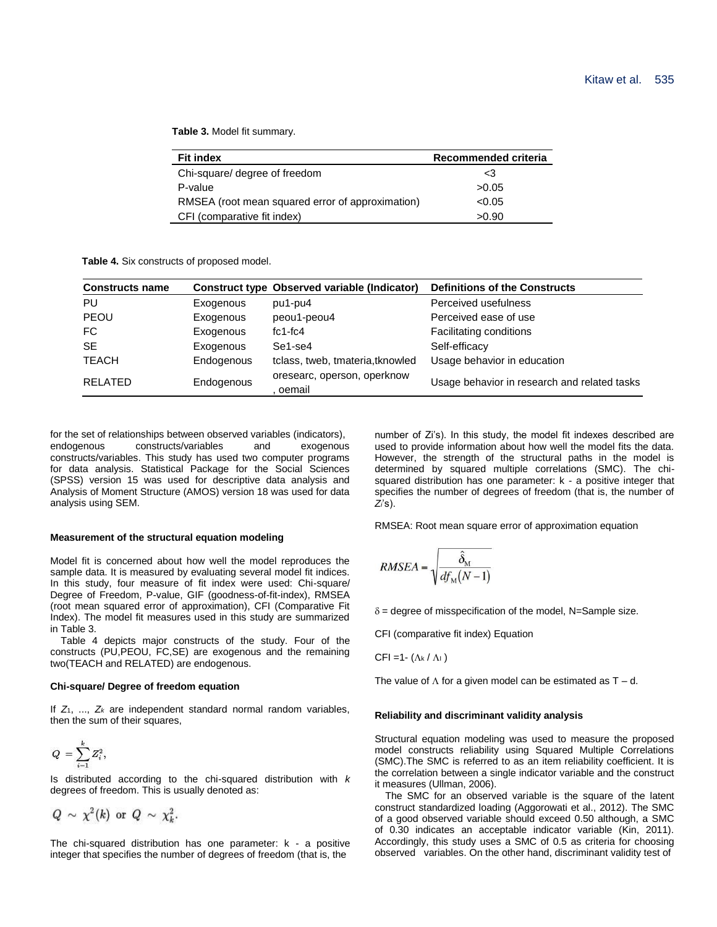**Table 3.** Model fit summary.

| <b>Fit index</b>                                 | Recommended criteria |
|--------------------------------------------------|----------------------|
| Chi-square/ degree of freedom                    | <3                   |
| P-value                                          | >0.05                |
| RMSEA (root mean squared error of approximation) | < 0.05               |
| CFI (comparative fit index)                      | >0.90                |

**Table 4.** Six constructs of proposed model.

| <b>Constructs name</b> |            | Construct type Observed variable (Indicator) | <b>Definitions of the Constructs</b>         |
|------------------------|------------|----------------------------------------------|----------------------------------------------|
| PU                     | Exogenous  | pu1-pu4                                      | Perceived usefulness                         |
| PEOU                   | Exogenous  | peou1-peou4                                  | Perceived ease of use                        |
| FC.                    | Exogenous  | $fc1-fc4$                                    | Facilitating conditions                      |
| <b>SE</b>              | Exogenous  | Se1-se4                                      | Self-efficacy                                |
| <b>TEACH</b>           | Endogenous | tclass, tweb, tmateria, tknowled             | Usage behavior in education                  |
| <b>RELATED</b>         | Endogenous | oresearc, operson, operknow<br>oemail        | Usage behavior in research and related tasks |

for the set of relationships between observed variables (indicators),<br>endogenous constructs/variables and exogenous endogenous constructs/variables and exogenous constructs/variables. This study has used two computer programs for data analysis. Statistical Package for the Social Sciences (SPSS) version 15 was used for descriptive data analysis and Analysis of Moment Structure (AMOS) version 18 was used for data analysis using SEM.

#### **Measurement of the structural equation modeling**

Model fit is concerned about how well the model reproduces the sample data. It is measured by evaluating several model fit indices. In this study, four measure of fit index were used: Chi-square/ Degree of Freedom, P-value, GIF (goodness-of-fit-index), RMSEA (root mean squared error of approximation), CFI (Comparative Fit Index). The model fit measures used in this study are summarized in Table 3.

Table 4 depicts major constructs of the study. Four of the constructs (PU,PEOU, FC,SE) are exogenous and the remaining two(TEACH and RELATED) are endogenous.

#### **Chi-square/ Degree of freedom equation**

If *Z*1, ..., *Z<sup>k</sup>* are independent standard normal random variables, then the sum of their squares,

$$
Q\ =\sum_{i=1}^k Z_i^2,
$$

Is distributed according to the chi-squared distribution with *k* degrees of freedom. This is usually denoted as:

$$
Q \sim \chi^2(k) \text{ or } Q \sim \chi^2_k.
$$

The chi-squared distribution has one parameter: k - a positive integer that specifies the number of degrees of freedom (that is, the

number of Zi's). In this study, the model fit indexes described are used to provide information about how well the model fits the data. However, the strength of the structural paths in the model is determined by squared multiple correlations (SMC). The chisquared distribution has one parameter: k - a positive integer that specifies the number of degrees of freedom (that is, the number of *Zi*'s).

RMSEA: Root mean square error of approximation equation

$$
RMSEA = \sqrt{\frac{\hat{\delta}_{\rm M}}{df_{\rm M}(N-1)}}
$$

 $\delta$  = degree of misspecification of the model, N=Sample size.

CFI (comparative fit index) Equation

CFI =1- $(\Lambda_k / \Lambda_l)$ 

The value of  $\Lambda$  for a given model can be estimated as T – d.

#### **Reliability and discriminant validity analysis**

Structural equation modeling was used to measure the proposed model constructs reliability using Squared Multiple Correlations (SMC).The SMC is referred to as an item reliability coefficient. It is the correlation between a single indicator variable and the construct it measures (Ullman, 2006).

The SMC for an observed variable is the square of the latent construct standardized loading (Aggorowati et al., 2012). The SMC of a good observed variable should exceed 0.50 although, a SMC of 0.30 indicates an acceptable indicator variable (Kin, 2011). Accordingly, this study uses a SMC of 0.5 as criteria for choosing observed variables. On the other hand, discriminant validity test of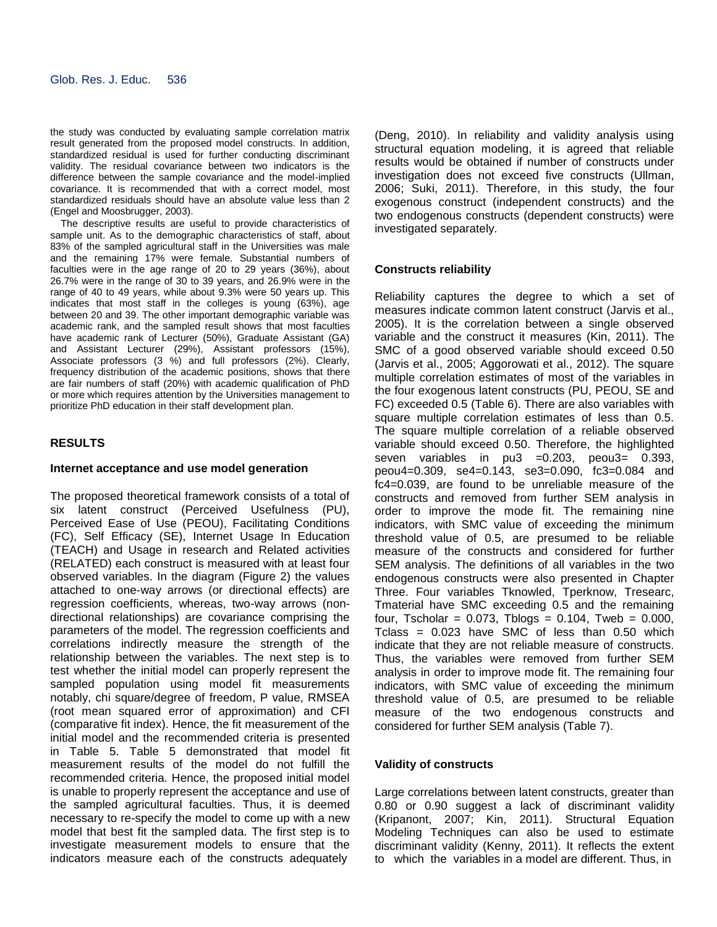the study was conducted by evaluating sample correlation matrix result generated from the proposed model constructs. In addition, standardized residual is used for further conducting discriminant validity. The residual covariance between two indicators is the difference between the sample covariance and the model-implied covariance. It is recommended that with a correct model, most standardized residuals should have an absolute value less than 2 (Engel and Moosbrugger, 2003).

The descriptive results are useful to provide characteristics of sample unit. As to the demographic characteristics of staff, about 83% of the sampled agricultural staff in the Universities was male and the remaining 17% were female. Substantial numbers of faculties were in the age range of 20 to 29 years (36%), about 26.7% were in the range of 30 to 39 years, and 26.9% were in the range of 40 to 49 years, while about 9.3% were 50 years up. This indicates that most staff in the colleges is young (63%), age between 20 and 39. The other important demographic variable was academic rank, and the sampled result shows that most faculties have academic rank of Lecturer (50%), Graduate Assistant (GA) and Assistant Lecturer (29%), Assistant professors (15%), Associate professors (3 %) and full professors (2%). Clearly, frequency distribution of the academic positions, shows that there are fair numbers of staff (20%) with academic qualification of PhD or more which requires attention by the Universities management to prioritize PhD education in their staff development plan.

## **RESULTS**

## **Internet acceptance and use model generation**

The proposed theoretical framework consists of a total of six latent construct (Perceived Usefulness (PU), Perceived Ease of Use (PEOU), Facilitating Conditions (FC), Self Efficacy (SE), Internet Usage In Education (TEACH) and Usage in research and Related activities (RELATED) each construct is measured with at least four observed variables. In the diagram (Figure 2) the values attached to one-way arrows (or directional effects) are regression coefficients, whereas, two-way arrows (nondirectional relationships) are covariance comprising the parameters of the model. The regression coefficients and correlations indirectly measure the strength of the relationship between the variables. The next step is to test whether the initial model can properly represent the sampled population using model fit measurements notably, chi square/degree of freedom, P value, RMSEA (root mean squared error of approximation) and CFI (comparative fit index). Hence, the fit measurement of the initial model and the recommended criteria is presented in Table 5. Table 5 demonstrated that model fit measurement results of the model do not fulfill the recommended criteria. Hence, the proposed initial model is unable to properly represent the acceptance and use of the sampled agricultural faculties. Thus, it is deemed necessary to re-specify the model to come up with a new model that best fit the sampled data. The first step is to investigate measurement models to ensure that the indicators measure each of the constructs adequately

(Deng, 2010). In reliability and validity analysis using structural equation modeling, it is agreed that reliable results would be obtained if number of constructs under investigation does not exceed five constructs (Ullman, 2006; Suki, 2011). Therefore, in this study, the four exogenous construct (independent constructs) and the two endogenous constructs (dependent constructs) were investigated separately.

## **Constructs reliability**

Reliability captures the degree to which a set of measures indicate common latent construct (Jarvis et al., 2005). It is the correlation between a single observed variable and the construct it measures (Kin, 2011). The SMC of a good observed variable should exceed 0.50 (Jarvis et al., 2005; Aggorowati et al., 2012). The square multiple correlation estimates of most of the variables in the four exogenous latent constructs (PU, PEOU, SE and FC) exceeded 0.5 (Table 6). There are also variables with square multiple correlation estimates of less than 0.5. The square multiple correlation of a reliable observed variable should exceed 0.50. Therefore, the highlighted seven variables in pu3 =0.203, peou3= 0.393, peou4=0.309, se4=0.143, se3=0.090, fc3=0.084 and fc4=0.039, are found to be unreliable measure of the constructs and removed from further SEM analysis in order to improve the mode fit. The remaining nine indicators, with SMC value of exceeding the minimum threshold value of 0.5, are presumed to be reliable measure of the constructs and considered for further SEM analysis. The definitions of all variables in the two endogenous constructs were also presented in Chapter Three. Four variables Tknowled, Tperknow, Tresearc, Tmaterial have SMC exceeding 0.5 and the remaining four, Tscholar = 0.073, Tblogs = 0.104, Tweb = 0.000, Tclass =  $0.023$  have SMC of less than  $0.50$  which indicate that they are not reliable measure of constructs. Thus, the variables were removed from further SEM analysis in order to improve mode fit. The remaining four indicators, with SMC value of exceeding the minimum threshold value of 0.5, are presumed to be reliable measure of the two endogenous constructs and considered for further SEM analysis (Table 7).

### **Validity of constructs**

Large correlations between latent constructs, greater than 0.80 or 0.90 suggest a lack of discriminant validity (Kripanont, 2007; Kin, 2011). Structural Equation Modeling Techniques can also be used to estimate discriminant validity (Kenny, 2011). It reflects the extent to which the variables in a model are different. Thus, in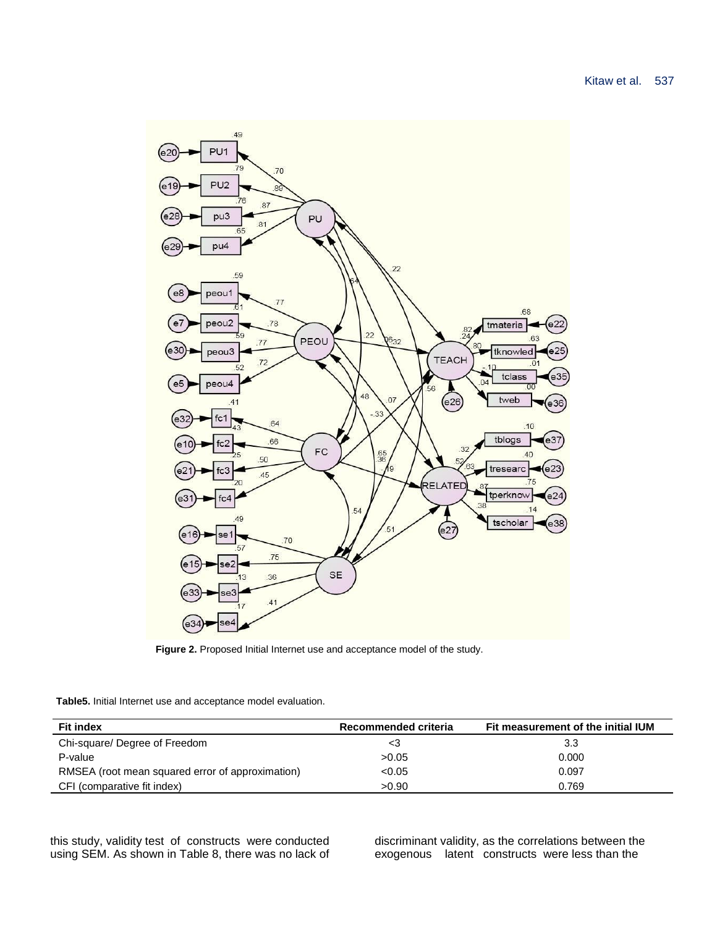

Figure 2. Proposed Initial Internet use and acceptance model of the study.

**Table5.** Initial Internet use and acceptance model evaluation.

| <b>Fit index</b>                                 | Recommended criteria | Fit measurement of the initial IUM |
|--------------------------------------------------|----------------------|------------------------------------|
| Chi-square/ Degree of Freedom                    | د>                   | 3.3                                |
| P-value                                          | >0.05                | 0.000                              |
| RMSEA (root mean squared error of approximation) | < 0.05               | 0.097                              |
| CFI (comparative fit index)                      | >0.90                | 0.769                              |

this study, validity test of constructs were conducted using SEM. As shown in Table 8, there was no lack of discriminant validity, as the correlations between the exogenous latent constructs were less than the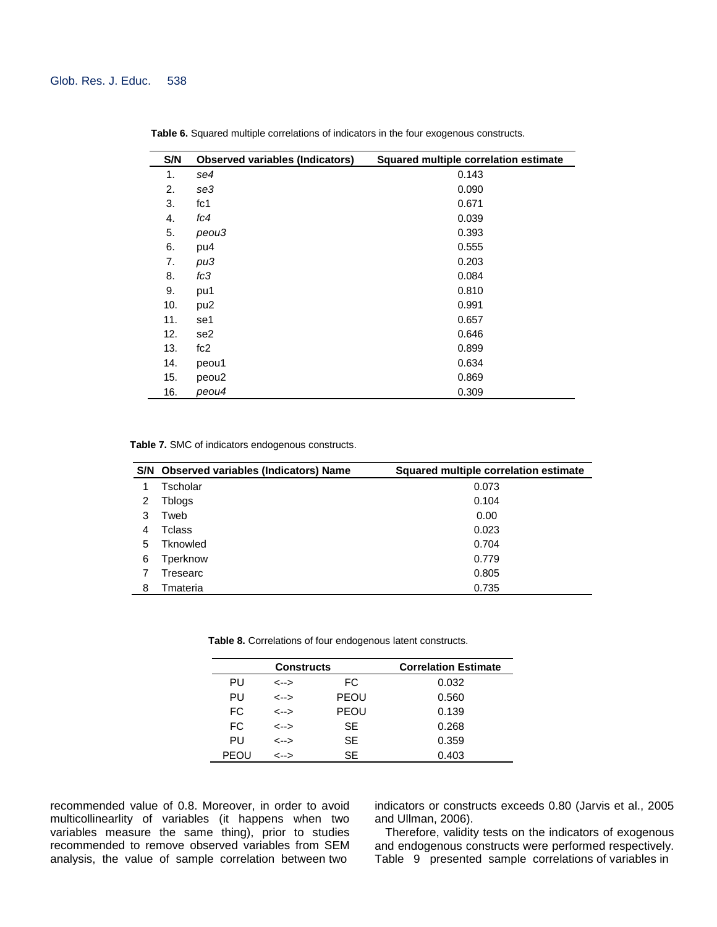| S/N | <b>Observed variables (Indicators)</b> | <b>Squared multiple correlation estimate</b> |
|-----|----------------------------------------|----------------------------------------------|
| 1.  | se4                                    | 0.143                                        |
| 2.  | se3                                    | 0.090                                        |
| 3.  | fc1                                    | 0.671                                        |
| 4.  | fc4                                    | 0.039                                        |
| 5.  | peou3                                  | 0.393                                        |
| 6.  | pu4                                    | 0.555                                        |
| 7.  | pu3                                    | 0.203                                        |
| 8.  | fc3                                    | 0.084                                        |
| 9.  | pu1                                    | 0.810                                        |
| 10. | pu <sub>2</sub>                        | 0.991                                        |
| 11. | se1                                    | 0.657                                        |
| 12. | se <sub>2</sub>                        | 0.646                                        |
| 13. | fc2                                    | 0.899                                        |
| 14. | peou1                                  | 0.634                                        |
| 15. | peou <sub>2</sub>                      | 0.869                                        |
| 16. | peou4                                  | 0.309                                        |

**Table 6.** Squared multiple correlations of indicators in the four exogenous constructs.

**Table 7.** SMC of indicators endogenous constructs.

|   | S/N Observed variables (Indicators) Name | Squared multiple correlation estimate |
|---|------------------------------------------|---------------------------------------|
|   | Tscholar                                 | 0.073                                 |
| 2 | Tblogs                                   | 0.104                                 |
| 3 | Tweb                                     | 0.00                                  |
| 4 | Tclass                                   | 0.023                                 |
| 5 | Tknowled                                 | 0.704                                 |
| 6 | Tperknow                                 | 0.779                                 |
|   | Tresearc                                 | 0.805                                 |
| 8 | Tmateria                                 | 0.735                                 |

**Table 8.** Correlations of four endogenous latent constructs.

| <b>Constructs</b> |      |             | <b>Correlation Estimate</b> |
|-------------------|------|-------------|-----------------------------|
| PU                | <--> | FC.         | 0.032                       |
| PU                | <--> | <b>PEOU</b> | 0.560                       |
| FC.               | <--> | <b>PEOU</b> | 0.139                       |
| FC.               | <--> | SE          | 0.268                       |
| PU                | <--> | SE          | 0.359                       |
| PEOU              | <--> | SE          | 0.403                       |

recommended value of 0.8. Moreover, in order to avoid multicollinearlity of variables (it happens when two variables measure the same thing), prior to studies recommended to remove observed variables from SEM analysis, the value of sample correlation between two

indicators or constructs exceeds 0.80 (Jarvis et al., 2005 and Ullman, 2006).

Therefore, validity tests on the indicators of exogenous and endogenous constructs were performed respectively. Table 9 presented sample correlations of variables in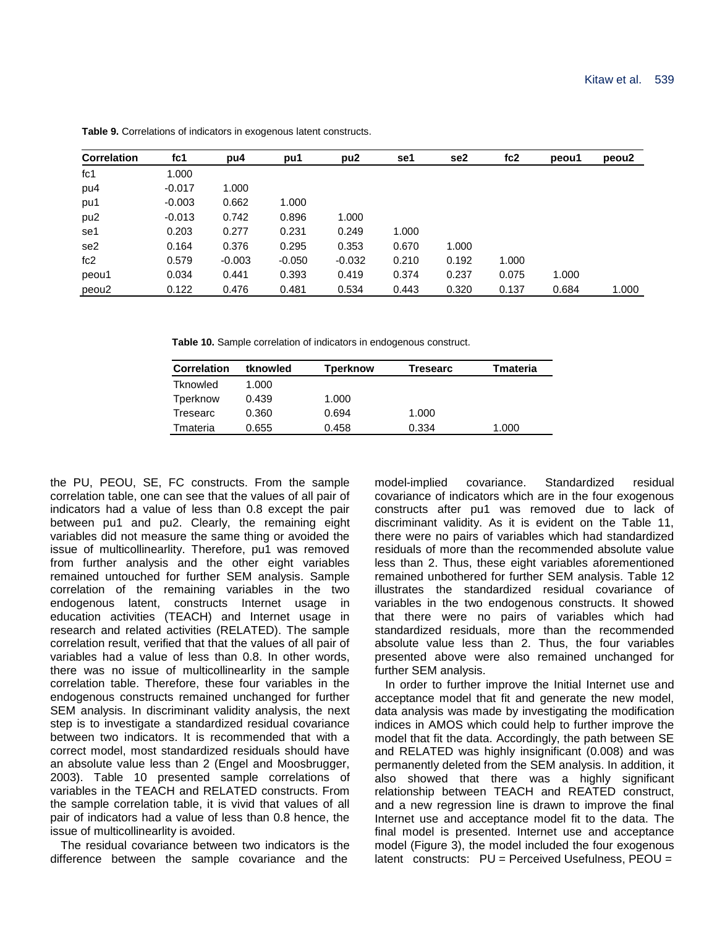| <b>Correlation</b> | fc <sub>1</sub> | pu4      | pu1      | pu <sub>2</sub> | se1   | se2   | fc2   | peou1 | peou <sub>2</sub> |
|--------------------|-----------------|----------|----------|-----------------|-------|-------|-------|-------|-------------------|
| fc1                | 1.000           |          |          |                 |       |       |       |       |                   |
| pu4                | $-0.017$        | 1.000    |          |                 |       |       |       |       |                   |
| pu1                | $-0.003$        | 0.662    | 1.000    |                 |       |       |       |       |                   |
| pu <sub>2</sub>    | $-0.013$        | 0.742    | 0.896    | 1.000           |       |       |       |       |                   |
| se1                | 0.203           | 0.277    | 0.231    | 0.249           | 1.000 |       |       |       |                   |
| se <sub>2</sub>    | 0.164           | 0.376    | 0.295    | 0.353           | 0.670 | 1.000 |       |       |                   |
| fc2                | 0.579           | $-0.003$ | $-0.050$ | $-0.032$        | 0.210 | 0.192 | 1.000 |       |                   |
| peou1              | 0.034           | 0.441    | 0.393    | 0.419           | 0.374 | 0.237 | 0.075 | 1.000 |                   |
| peou2              | 0.122           | 0.476    | 0.481    | 0.534           | 0.443 | 0.320 | 0.137 | 0.684 | 1.000             |

**Table 9.** Correlations of indicators in exogenous latent constructs.

**Table 10.** Sample correlation of indicators in endogenous construct.

| <b>Correlation</b> | tknowled | Tperknow | Tresearc | Tmateria |
|--------------------|----------|----------|----------|----------|
| Tknowled           | 1.000    |          |          |          |
| Tperknow           | 0.439    | 1.000    |          |          |
| Tresearc           | 0.360    | 0.694    | 1.000    |          |
| Tmateria           | 0.655    | 0.458    | 0.334    | 1.000    |

the PU, PEOU, SE, FC constructs. From the sample correlation table, one can see that the values of all pair of indicators had a value of less than 0.8 except the pair between pu1 and pu2. Clearly, the remaining eight variables did not measure the same thing or avoided the issue of multicollinearlity. Therefore, pu1 was removed from further analysis and the other eight variables remained untouched for further SEM analysis. Sample correlation of the remaining variables in the two endogenous latent, constructs Internet usage in education activities (TEACH) and Internet usage in research and related activities (RELATED). The sample correlation result, verified that that the values of all pair of variables had a value of less than 0.8. In other words, there was no issue of multicollinearlity in the sample correlation table. Therefore, these four variables in the endogenous constructs remained unchanged for further SEM analysis. In discriminant validity analysis, the next step is to investigate a standardized residual covariance between two indicators. It is recommended that with a correct model, most standardized residuals should have an absolute value less than 2 (Engel and Moosbrugger, 2003). Table 10 presented sample correlations of variables in the TEACH and RELATED constructs. From the sample correlation table, it is vivid that values of all pair of indicators had a value of less than 0.8 hence, the issue of multicollinearlity is avoided.

The residual covariance between two indicators is the difference between the sample covariance and the

model-implied covariance. Standardized residual covariance of indicators which are in the four exogenous constructs after pu1 was removed due to lack of discriminant validity. As it is evident on the Table 11, there were no pairs of variables which had standardized residuals of more than the recommended absolute value less than 2. Thus, these eight variables aforementioned remained unbothered for further SEM analysis. Table 12 illustrates the standardized residual covariance of variables in the two endogenous constructs. It showed that there were no pairs of variables which had standardized residuals, more than the recommended absolute value less than 2. Thus, the four variables presented above were also remained unchanged for further SEM analysis.

In order to further improve the Initial Internet use and acceptance model that fit and generate the new model, data analysis was made by investigating the modification indices in AMOS which could help to further improve the model that fit the data. Accordingly, the path between SE and RELATED was highly insignificant (0.008) and was permanently deleted from the SEM analysis. In addition, it also showed that there was a highly significant relationship between TEACH and REATED construct, and a new regression line is drawn to improve the final Internet use and acceptance model fit to the data. The final model is presented. Internet use and acceptance model (Figure 3), the model included the four exogenous latent constructs: PU = Perceived Usefulness, PEOU =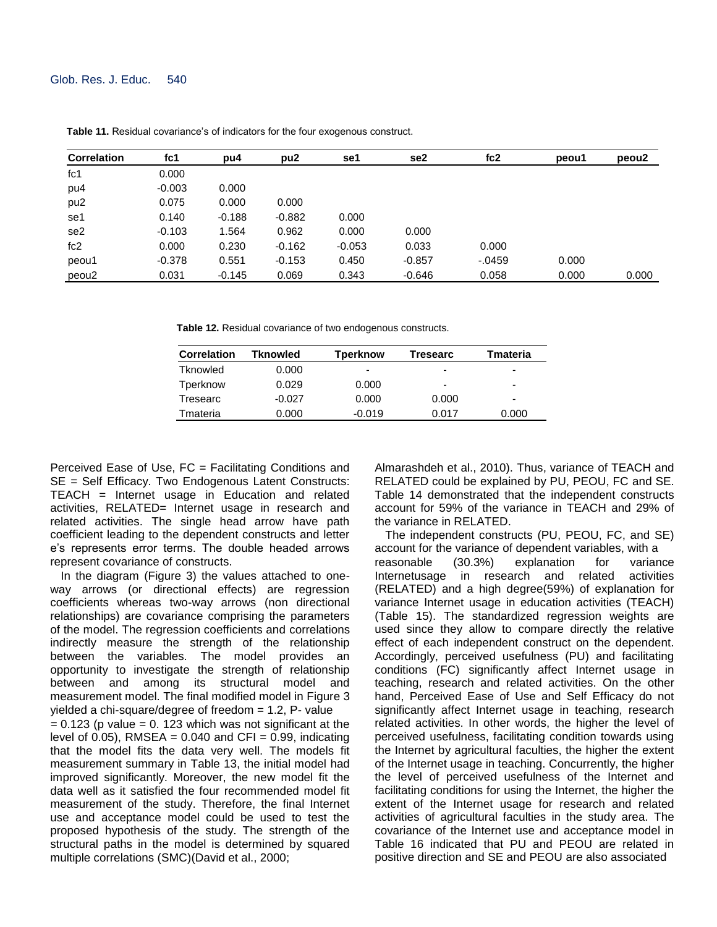| <b>Correlation</b> | fc1      | pu4      | pu <sub>2</sub> | se1      | se2      | fc2       | peou1 | peou2 |
|--------------------|----------|----------|-----------------|----------|----------|-----------|-------|-------|
| fc1                | 0.000    |          |                 |          |          |           |       |       |
| pu4                | $-0.003$ | 0.000    |                 |          |          |           |       |       |
| pu <sub>2</sub>    | 0.075    | 0.000    | 0.000           |          |          |           |       |       |
| se1                | 0.140    | $-0.188$ | $-0.882$        | 0.000    |          |           |       |       |
| se <sub>2</sub>    | $-0.103$ | 1.564    | 0.962           | 0.000    | 0.000    |           |       |       |
| fc2                | 0.000    | 0.230    | $-0.162$        | $-0.053$ | 0.033    | 0.000     |       |       |
| peou1              | $-0.378$ | 0.551    | $-0.153$        | 0.450    | $-0.857$ | $-0.0459$ | 0.000 |       |
| peou2              | 0.031    | $-0.145$ | 0.069           | 0.343    | $-0.646$ | 0.058     | 0.000 | 0.000 |

**Table 11.** Residual covariance's of indicators for the four exogenous construct.

**Table 12.** Residual covariance of two endogenous constructs.

| <b>Correlation</b> | Tknowled | <b>Tperknow</b> | Tresearc                 | Tmateria                 |
|--------------------|----------|-----------------|--------------------------|--------------------------|
| Tknowled           | 0.000    | ۰               | $\overline{\phantom{0}}$ | -                        |
| Tperknow           | 0.029    | 0.000           | $\overline{\phantom{0}}$ | -                        |
| Tresearc           | $-0.027$ | 0.000           | 0.000                    | $\overline{\phantom{0}}$ |
| Tmateria           | 0.000    | $-0.019$        | 0.017                    | 0.000                    |

Perceived Ease of Use, FC = Facilitating Conditions and SE = Self Efficacy. Two Endogenous Latent Constructs: TEACH = Internet usage in Education and related activities, RELATED= Internet usage in research and related activities. The single head arrow have path coefficient leading to the dependent constructs and letter e's represents error terms. The double headed arrows represent covariance of constructs.

In the diagram (Figure 3) the values attached to oneway arrows (or directional effects) are regression coefficients whereas two-way arrows (non directional relationships) are covariance comprising the parameters of the model. The regression coefficients and correlations indirectly measure the strength of the relationship between the variables. The model provides an opportunity to investigate the strength of relationship between and among its structural model and measurement model. The final modified model in Figure 3 yielded a chi-square/degree of freedom  $= 1.2$ , P- value  $= 0.123$  (p value  $= 0.123$  which was not significant at the level of 0.05), RMSEA =  $0.040$  and CFI = 0.99, indicating that the model fits the data very well. The models fit measurement summary in Table 13, the initial model had improved significantly. Moreover, the new model fit the data well as it satisfied the four recommended model fit measurement of the study. Therefore, the final Internet use and acceptance model could be used to test the proposed hypothesis of the study. The strength of the structural paths in the model is determined by squared multiple correlations (SMC)(David et al., 2000;

Almarashdeh et al., 2010). Thus, variance of TEACH and RELATED could be explained by PU, PEOU, FC and SE. Table 14 demonstrated that the independent constructs account for 59% of the variance in TEACH and 29% of the variance in RELATED.

The independent constructs (PU, PEOU, FC, and SE) account for the variance of dependent variables, with a reasonable (30.3%) explanation for variance Internetusage in research and related activities (RELATED) and a high degree(59%) of explanation for variance Internet usage in education activities (TEACH) (Table 15). The standardized regression weights are used since they allow to compare directly the relative effect of each independent construct on the dependent. Accordingly, perceived usefulness (PU) and facilitating conditions (FC) significantly affect Internet usage in teaching, research and related activities. On the other hand, Perceived Ease of Use and Self Efficacy do not significantly affect Internet usage in teaching, research related activities. In other words, the higher the level of perceived usefulness, facilitating condition towards using the Internet by agricultural faculties, the higher the extent of the Internet usage in teaching. Concurrently, the higher the level of perceived usefulness of the Internet and facilitating conditions for using the Internet, the higher the extent of the Internet usage for research and related activities of agricultural faculties in the study area. The covariance of the Internet use and acceptance model in Table 16 indicated that PU and PEOU are related in positive direction and SE and PEOU are also associated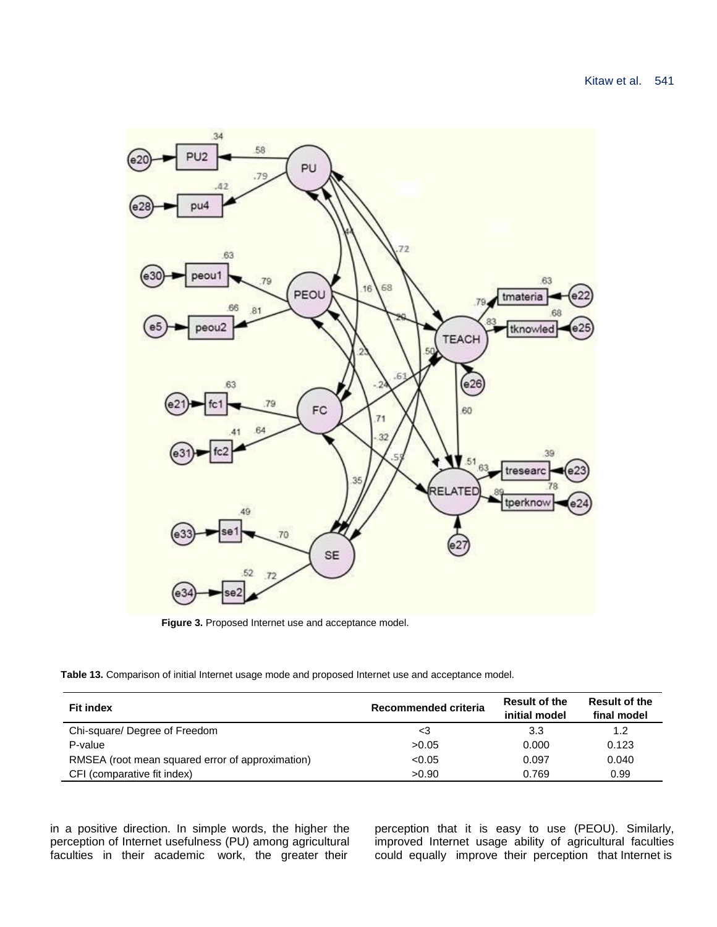

Figure 3. Proposed Internet use and acceptance model.

**Table 13.** Comparison of initial Internet usage mode and proposed Internet use and acceptance model.

| <b>Fit index</b>                                 | Recommended criteria | <b>Result of the</b><br>initial model | <b>Result of the</b><br>final model |
|--------------------------------------------------|----------------------|---------------------------------------|-------------------------------------|
| Chi-square/ Degree of Freedom                    | <3                   | 3.3                                   | 1.2                                 |
| P-value                                          | >0.05                | 0.000                                 | 0.123                               |
| RMSEA (root mean squared error of approximation) | < 0.05               | 0.097                                 | 0.040                               |
| CFI (comparative fit index)                      | >0.90                | 0.769                                 | 0.99                                |

in a positive direction. In simple words, the higher the perception of Internet usefulness (PU) among agricultural faculties in their academic work, the greater their

perception that it is easy to use (PEOU). Similarly, improved Internet usage ability of agricultural faculties could equally improve their perception that Internet is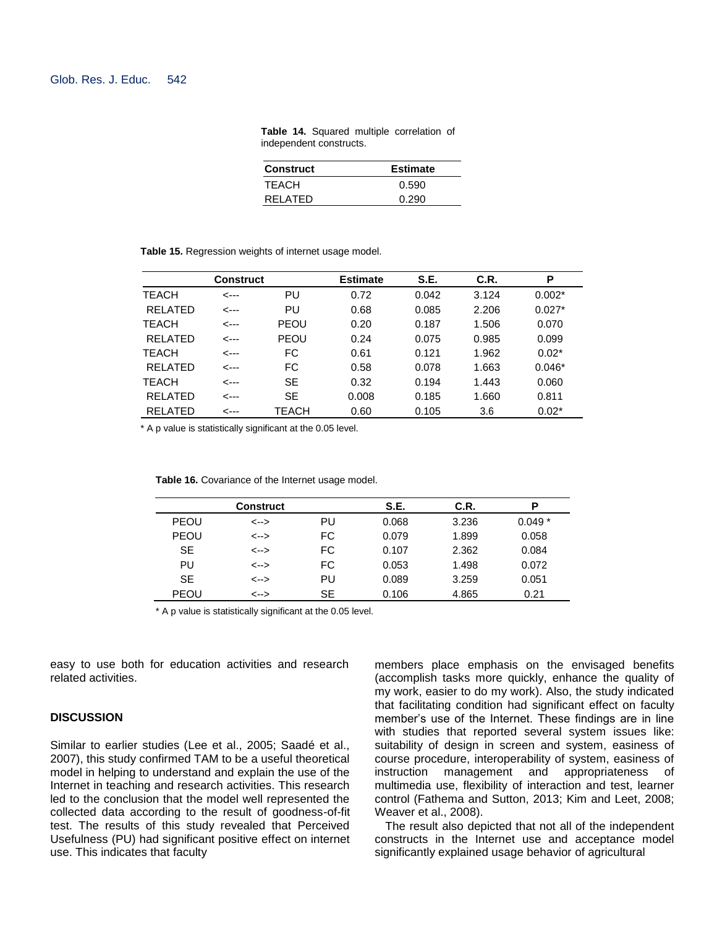| <b>Construct</b> | <b>Estimate</b> |
|------------------|-----------------|
| TEACH            | 0.590           |
| RELATED          | 0.290           |

**Table 14.** Squared multiple correlation of independent constructs.

**Table 15.** Regression weights of internet usage model.

|                | <b>Construct</b> |             | <b>Estimate</b> | S.E.  | C.R.  | P        |
|----------------|------------------|-------------|-----------------|-------|-------|----------|
| <b>TEACH</b>   | <---             | PU          | 0.72            | 0.042 | 3.124 | $0.002*$ |
| <b>RELATED</b> | --->             | PU          | 0.68            | 0.085 | 2.206 | $0.027*$ |
| <b>TEACH</b>   | <---             | <b>PEOU</b> | 0.20            | 0.187 | 1.506 | 0.070    |
| RELATED        | <---             | PEOU        | 0.24            | 0.075 | 0.985 | 0.099    |
| <b>TEACH</b>   | <---             | FC.         | 0.61            | 0.121 | 1.962 | $0.02*$  |
| RELATED        | <---             | FC          | 0.58            | 0.078 | 1.663 | $0.046*$ |
| <b>TEACH</b>   | <---             | <b>SE</b>   | 0.32            | 0.194 | 1.443 | 0.060    |
| <b>RELATED</b> | --->             | <b>SE</b>   | 0.008           | 0.185 | 1.660 | 0.811    |
| <b>RELATED</b> | <---             | TEACH       | 0.60            | 0.105 | 3.6   | $0.02*$  |

\* A p value is statistically significant at the 0.05 level.

|             | Construct |           | S.E.  | C.R.  | P        |
|-------------|-----------|-----------|-------|-------|----------|
| <b>PEOU</b> | <-->      | PU        | 0.068 | 3.236 | $0.049*$ |
| <b>PEOU</b> | <-->      | FC        | 0.079 | 1.899 | 0.058    |
| <b>SE</b>   | <-->      | FC        | 0.107 | 2.362 | 0.084    |
| PU          | <-->      | FC        | 0.053 | 1.498 | 0.072    |
| <b>SE</b>   | <-->      | PU        | 0.089 | 3.259 | 0.051    |
| <b>PEOU</b> | <-->      | <b>SE</b> | 0.106 | 4.865 | 0.21     |

| Table 16. Covariance of the Internet usage model. |  |  |  |  |  |
|---------------------------------------------------|--|--|--|--|--|
|---------------------------------------------------|--|--|--|--|--|

\* A p value is statistically significant at the 0.05 level.

easy to use both for education activities and research related activities.

## **DISCUSSION**

Similar to earlier studies (Lee et al., 2005; Saadé et al., 2007), this study confirmed TAM to be a useful theoretical model in helping to understand and explain the use of the Internet in teaching and research activities. This research led to the conclusion that the model well represented the collected data according to the result of goodness-of-fit test. The results of this study revealed that Perceived Usefulness (PU) had significant positive effect on internet use. This indicates that faculty

members place emphasis on the envisaged benefits (accomplish tasks more quickly, enhance the quality of my work, easier to do my work). Also, the study indicated that facilitating condition had significant effect on faculty member's use of the Internet. These findings are in line with studies that reported several system issues like: suitability of design in screen and system, easiness of course procedure, interoperability of system, easiness of instruction management and appropriateness of multimedia use, flexibility of interaction and test, learner control (Fathema and Sutton, 2013; Kim and Leet, 2008; Weaver et al., 2008).

The result also depicted that not all of the independent constructs in the Internet use and acceptance model significantly explained usage behavior of agricultural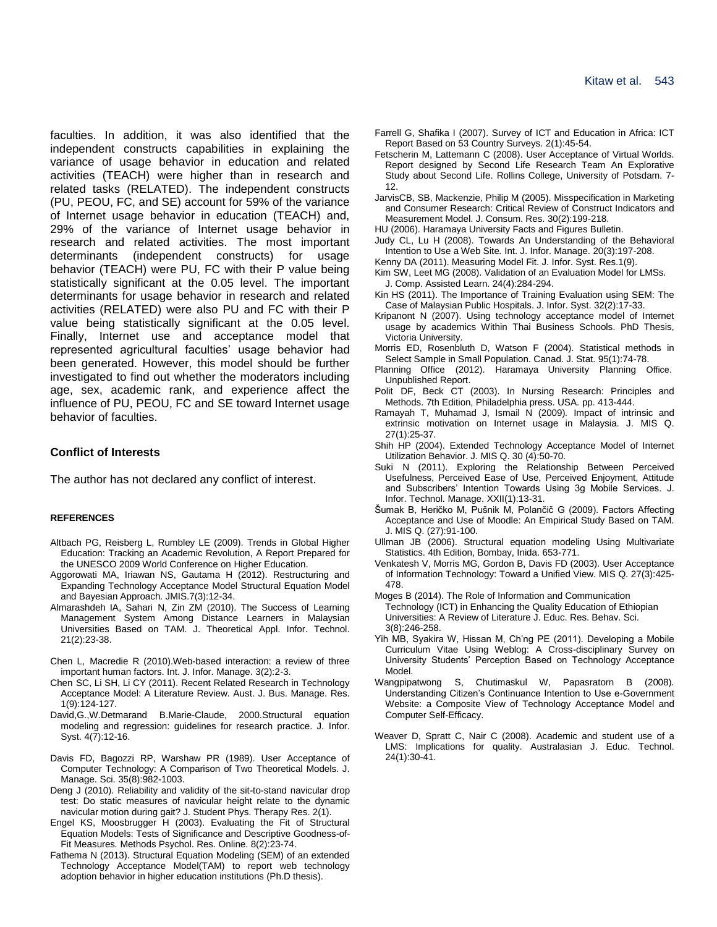faculties. In addition, it was also identified that the independent constructs capabilities in explaining the variance of usage behavior in education and related activities (TEACH) were higher than in research and related tasks (RELATED). The independent constructs (PU, PEOU, FC, and SE) account for 59% of the variance of Internet usage behavior in education (TEACH) and, 29% of the variance of Internet usage behavior in research and related activities. The most important determinants (independent constructs) for usage behavior (TEACH) were PU, FC with their P value being statistically significant at the 0.05 level. The important determinants for usage behavior in research and related activities (RELATED) were also PU and FC with their P value being statistically significant at the 0.05 level. Finally, Internet use and acceptance model that represented agricultural faculties' usage behavior had been generated. However, this model should be further investigated to find out whether the moderators including age, sex, academic rank, and experience affect the influence of PU, PEOU, FC and SE toward Internet usage behavior of faculties.

## **Conflict of Interests**

The author has not declared any conflict of interest.

#### **REFERENCES**

- Altbach PG, Reisberg L, Rumbley LE (2009). Trends in Global Higher Education: Tracking an Academic Revolution, A Report Prepared for the UNESCO 2009 World Conference on Higher Education.
- Aggorowati MA, Iriawan NS, Gautama H (2012). Restructuring and Expanding Technology Acceptance Model Structural Equation Model and Bayesian Approach. JMIS.7(3):12-34.
- Almarashdeh IA, Sahari N, Zin ZM (2010). The Success of Learning Management System Among Distance Learners in Malaysian Universities Based on TAM. J. Theoretical Appl. Infor. Technol. 21(2):23-38.
- Chen L, Macredie R (2010).Web-based interaction: a review of three important human factors. Int. J. Infor. Manage. 3(2):2-3.
- Chen SC, Li SH, Li CY (2011). Recent Related Research in Technology Acceptance Model: A Literature Review. Aust. J. Bus. Manage. Res. 1(9):124-127.
- David,G.,W.Detmarand B.Marie-Claude, 2000.Structural equation modeling and regression: guidelines for research practice. J. Infor. Syst. 4(7):12-16.
- Davis FD, Bagozzi RP, Warshaw PR (1989). User Acceptance of Computer Technology: A Comparison of Two Theoretical Models. J. Manage. Sci. 35(8):982-1003.
- Deng J (2010). Reliability and validity of the sit-to-stand navicular drop test: Do static measures of navicular height relate to the dynamic navicular motion during gait? J. Student Phys. Therapy Res. 2(1).
- Engel KS, Moosbrugger H (2003). Evaluating the Fit of Structural Equation Models: Tests of Significance and Descriptive Goodness-of-Fit Measures*.* Methods Psychol. Res. Online. 8(2):23-74.
- Fathema N (2013). Structural Equation Modeling (SEM) of an extended Technology Acceptance Model(TAM) to report web technology adoption behavior in higher education institutions (Ph.D thesis).
- Farrell G, Shafika I (2007). Survey of ICT and Education in Africa: ICT Report Based on 53 Country Surveys. 2(1):45-54.
- Fetscherin M, Lattemann C (2008). User Acceptance of Virtual Worlds. Report designed by Second Life Research Team An Explorative Study about Second Life. Rollins College, University of Potsdam. 7- 12.
- JarvisCB, SB, Mackenzie, Philip M (2005). Misspecification in Marketing and Consumer Research: Critical Review of Construct Indicators and Measurement Model. J. Consum. Res. 30(2):199-218.
- HU (2006). Haramaya University Facts and Figures Bulletin.
- Judy CL, Lu H (2008). Towards An Understanding of the Behavioral Intention to Use a Web Site*.* Int. J. Infor. Manage. 20(3):197-208.
- Kenny DA (2011). Measuring Model Fit. J. Infor. Syst. Res.1(9).
- Kim SW, Leet MG (2008). Validation of an Evaluation Model for LMSs. J. Comp. Assisted Learn. 24(4):284-294.
- Kin HS (2011). The Importance of Training Evaluation using SEM: The Case of Malaysian Public Hospitals. J. Infor. Syst. 32(2):17-33.
- Kripanont N (2007). Using technology acceptance model of Internet usage by academics Within Thai Business Schools. PhD Thesis, Victoria University.
- Morris ED, Rosenbluth D, Watson F (2004). Statistical methods in Select Sample in Small Population. Canad. J. Stat. 95(1):74-78.
- Planning Office (2012). Haramaya University Planning Office. Unpublished Report.
- Polit DF, Beck CT (2003). In Nursing Research: Principles and Methods. 7th Edition, Philadelphia press. USA. pp. 413-444.
- Ramayah T, Muhamad J, Ismail N (2009)*.* Impact of intrinsic and extrinsic motivation on Internet usage in Malaysia. J. MIS Q. 27(1):25-37.
- Shih HP (2004). Extended Technology Acceptance Model of Internet Utilization Behavior. J. MIS Q. 30 (4):50-70.
- Suki N (2011). Exploring the Relationship Between Perceived Usefulness, Perceived Ease of Use, Perceived Enjoyment, Attitude and Subscribers' Intention Towards Using 3g Mobile Services. J. Infor. Technol. Manage. XXII(1):13-31.
- Šumak B, Heričko M, Pušnik M, Polančič G (2009). Factors Affecting Acceptance and Use of Moodle: An Empirical Study Based on TAM. J. MIS Q. (27):91-100.
- Ullman JB (2006). Structural equation modeling Using Multivariate Statistics. 4th Edition, Bombay, Inida. 653-771.
- Venkatesh V, Morris MG, Gordon B, Davis FD (2003). User Acceptance of Information Technology: Toward a Unified View. MIS Q. 27(3):425- 478.
- Moges B (2014). The Role of Information and Communication Technology (ICT) in Enhancing the Quality Education of Ethiopian Universities: A Review of Literature J. Educ. Res. Behav. Sci. 3(8):246-258.
- Yih MB, Syakira W, Hissan M, Ch'ng PE (2011). Developing a Mobile Curriculum Vitae Using Weblog: A Cross-disciplinary Survey on University Students' Perception Based on Technology Acceptance Model.
- Wangpipatwong S, Chutimaskul W, Papasratorn B (2008). Understanding Citizen's Continuance Intention to Use e-Government Website: a Composite View of Technology Acceptance Model and Computer Self-Efficacy.
- Weaver D, Spratt C, Nair C (2008). Academic and student use of a LMS: Implications for quality. Australasian J. Educ. Technol. 24(1):30-41.